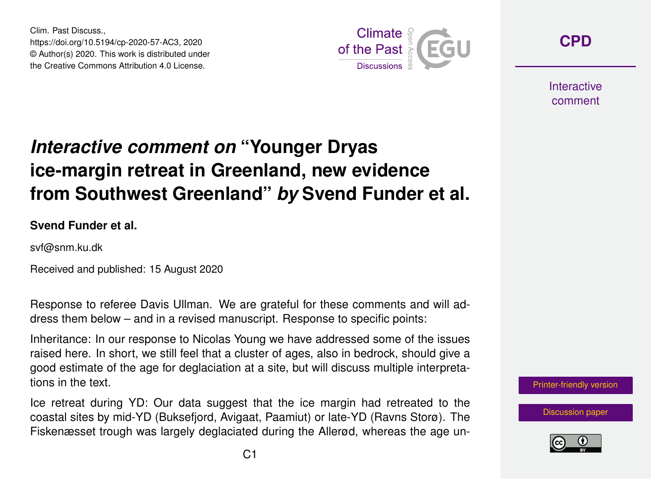Clim. Past Discuss., https://doi.org/10.5194/cp-2020-57-AC3, 2020 © Author(s) 2020. This work is distributed under the Creative Commons Attribution 4.0 License.



**[CPD](https://cp.copernicus.org/preprints/)**

**Interactive** comment

## *Interactive comment on* **"Younger Dryas ice-margin retreat in Greenland, new evidence from Southwest Greenland"** *by* **Svend Funder et al.**

**Svend Funder et al.**

svf@snm.ku.dk

Received and published: 15 August 2020

Response to referee Davis Ullman. We are grateful for these comments and will address them below – and in a revised manuscript. Response to specific points:

Inheritance: In our response to Nicolas Young we have addressed some of the issues raised here. In short, we still feel that a cluster of ages, also in bedrock, should give a good estimate of the age for deglaciation at a site, but will discuss multiple interpretations in the text.

Ice retreat during YD: Our data suggest that the ice margin had retreated to the coastal sites by mid-YD (Buksefjord, Avigaat, Paamiut) or late-YD (Ravns Storø). The Fiskenæsset trough was largely deglaciated during the Allerød, whereas the age un-



[Discussion paper](https://cp.copernicus.org/preprints/cp-2020-57)